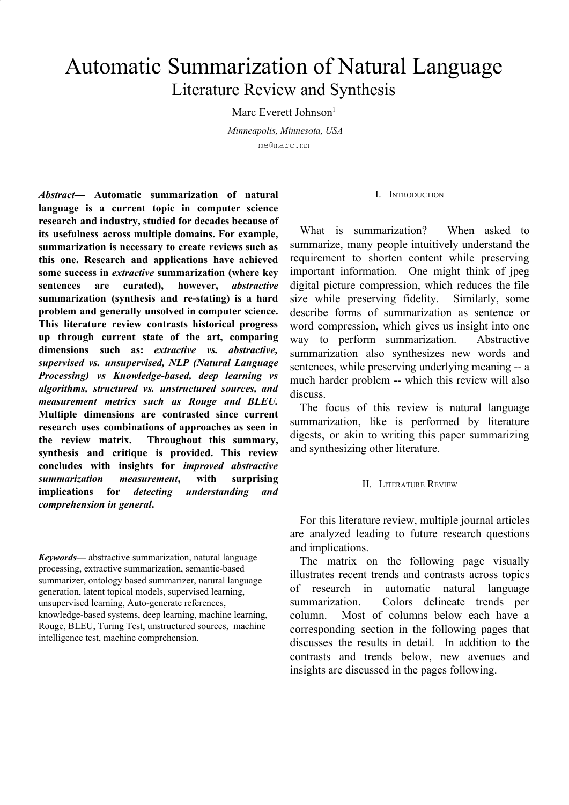# Automatic Summarization of Natural Language Literature Review and Synthesis

Marc Everett Johnson<sup>1</sup>

*Minneapolis, Minnesota, USA* me@marc.mn

*Abstract***— Automatic summarization of natural language is a current topic in computer science research and industry, studied for decades because of its usefulness across multiple domains. For example, summarization is necessary to create reviews such as this one. Research and applications have achieved some success in** *extractive* **summarization (where key sentences are curated), however,** *abstractive* **summarization (synthesis and re-stating) is a hard problem and generally unsolved in computer science. This literature review contrasts historical progress up through current state of the art, comparing dimensions such as:** *extractive vs. abstractive, supervised vs. unsupervised, NLP (Natural Language Processing) vs Knowledge-based, deep learning vs algorithms, structured vs. unstructured sources, and measurement metrics such as Rouge and BLEU.* **Multiple dimensions are contrasted since current research uses combinations of approaches as seen in the review matrix. Throughout this summary, synthesis and critique is provided. This review concludes with insights for** *improved abstractive summarization measurement***, with surprising implications for** *detecting understanding and comprehension in general***.**

*Keywords***—** abstractive summarization, natural language processing, extractive summarization, semantic-based summarizer, ontology based summarizer, natural language generation, latent topical models, supervised learning, unsupervised learning, Auto-generate references, knowledge-based systems, deep learning, machine learning, Rouge, BLEU, Turing Test, unstructured sources, machine intelligence test, machine comprehension.

#### I. INTRODUCTION

What is summarization? When asked to summarize, many people intuitively understand the requirement to shorten content while preserving important information. One might think of jpeg digital picture compression, which reduces the file size while preserving fidelity. Similarly, some describe forms of summarization as sentence or word compression, which gives us insight into one way to perform summarization. Abstractive summarization also synthesizes new words and sentences, while preserving underlying meaning -- a much harder problem -- which this review will also discuss.

The focus of this review is natural language summarization, like is performed by literature digests, or akin to writing this paper summarizing and synthesizing other literature.

## II. LITERATURE REVIEW

For this literature review, multiple journal articles are analyzed leading to future research questions and implications.

The matrix on the following page visually illustrates recent trends and contrasts across topics of research in automatic natural language summarization. Colors delineate trends per column. Most of columns below each have a corresponding section in the following pages that discusses the results in detail. In addition to the contrasts and trends below, new avenues and insights are discussed in the pages following.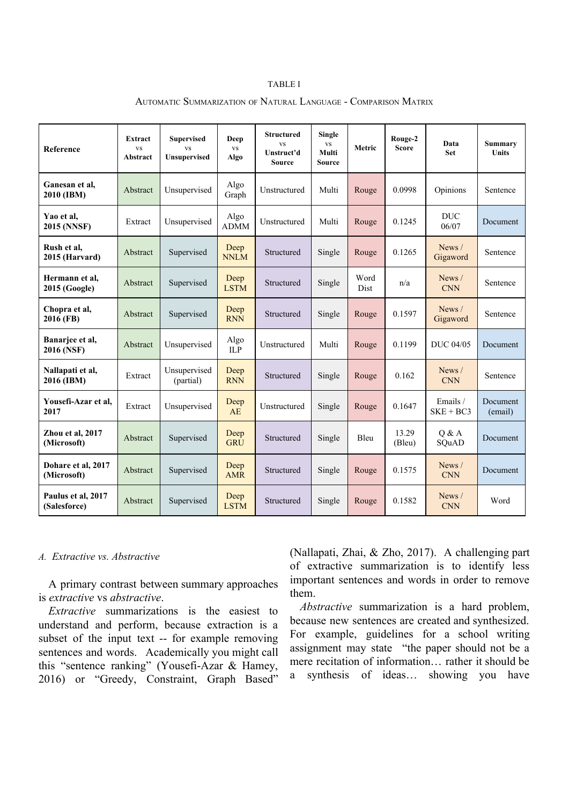#### TABLE I

| Reference                          | Extract<br><b>VS</b><br>Abstract | <b>Supervised</b><br><b>VS</b><br><b>Unsupervised</b> | <b>Deep</b><br><b>VS</b><br>Algo | <b>Structured</b><br><b>VS</b><br>Unstruct'd<br>Source | <b>Single</b><br>$_{\rm VS}$<br>Multi<br><b>Source</b> | Metric       | Rouge-2<br><b>Score</b> | Data<br><b>Set</b>      | <b>Summary</b><br><b>Units</b> |
|------------------------------------|----------------------------------|-------------------------------------------------------|----------------------------------|--------------------------------------------------------|--------------------------------------------------------|--------------|-------------------------|-------------------------|--------------------------------|
| Ganesan et al.<br>2010 (IBM)       | Abstract                         | Unsupervised                                          | Algo<br>Graph                    | Unstructured                                           | Multi                                                  | Rouge        | 0.0998                  | Opinions                | Sentence                       |
| Yao et al,<br>2015 (NNSF)          | Extract                          | Unsupervised                                          | Algo<br><b>ADMM</b>              | Unstructured                                           | Multi                                                  | Rouge        | 0.1245                  | <b>DUC</b><br>06/07     | Document                       |
| Rush et al,<br>2015 (Harvard)      | Abstract                         | Supervised                                            | Deep<br><b>NNLM</b>              | Structured                                             | Single                                                 | Rouge        | 0.1265                  | News /<br>Gigaword      | Sentence                       |
| Hermann et al.<br>2015 (Google)    | Abstract                         | Supervised                                            | Deep<br><b>LSTM</b>              | Structured                                             | Single                                                 | Word<br>Dist | n/a                     | News /<br><b>CNN</b>    | Sentence                       |
| Chopra et al,<br>2016 (FB)         | Abstract                         | Supervised                                            | Deep<br><b>RNN</b>               | Structured                                             | Single                                                 | Rouge        | 0.1597                  | News $/$<br>Gigaword    | Sentence                       |
| Banarjee et al,<br>2016 (NSF)      | Abstract                         | Unsupervised                                          | Algo<br><b>ILP</b>               | Unstructured                                           | Multi                                                  | Rouge        | 0.1199                  | <b>DUC 04/05</b>        | Document                       |
| Nallapati et al,<br>2016 (IBM)     | Extract                          | Unsupervised<br>(partial)                             | Deep<br><b>RNN</b>               | Structured                                             | Single                                                 | Rouge        | 0.162                   | News /<br><b>CNN</b>    | Sentence                       |
| Yousefi-Azar et al,<br>2017        | Extract                          | Unsupervised                                          | Deep<br>AE                       | Unstructured                                           | Single                                                 | Rouge        | 0.1647                  | Emails /<br>$SKE + BC3$ | Document<br>(email)            |
| Zhou et al, 2017<br>(Microsoft)    | Abstract                         | Supervised                                            | Deep<br><b>GRU</b>               | Structured                                             | Single                                                 | Bleu         | 13.29<br>(Bleu)         | O & A<br>SQuAD          | Document                       |
| Dohare et al, 2017<br>(Microsoft)  | Abstract                         | Supervised                                            | Deep<br><b>AMR</b>               | Structured                                             | Single                                                 | Rouge        | 0.1575                  | News /<br><b>CNN</b>    | Document                       |
| Paulus et al, 2017<br>(Salesforce) | Abstract                         | Supervised                                            | Deep<br><b>LSTM</b>              | Structured                                             | Single                                                 | Rouge        | 0.1582                  | News /<br><b>CNN</b>    | Word                           |

#### AUTOMATIC SUMMARIZATION OF NATURAL LANGUAGE - COMPARISON MATRIX

## *A. Extractive vs. Abstractive*

A primary contrast between summary approaches is *extractive* vs *abstractive*.

*Extractive* summarizations is the easiest to understand and perform, because extraction is a subset of the input text -- for example removing sentences and words. Academically you might call this "sentence ranking" (Yousefi-Azar & Hamey, 2016) or "Greedy, Constraint, Graph Based"

(Nallapati, Zhai, & Zho, 2017). A challenging part of extractive summarization is to identify less important sentences and words in order to remove them.

*Abstractive* summarization is a hard problem, because new sentences are created and synthesized. For example, guidelines for a school writing assignment may state "the paper should not be a mere recitation of information… rather it should be a synthesis of ideas… showing you have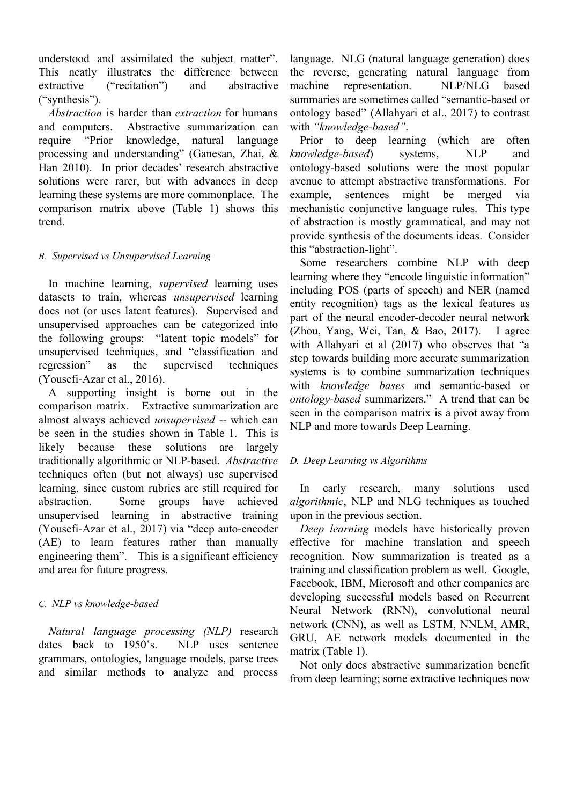understood and assimilated the subject matter". This neatly illustrates the difference between extractive ("recitation") and abstractive ("synthesis").

*Abstraction* is harder than *extraction* for humans and computers. Abstractive summarization can require "Prior knowledge, natural language processing and understanding" (Ganesan, Zhai, & Han 2010). In prior decades' research abstractive solutions were rarer, but with advances in deep learning these systems are more commonplace. The comparison matrix above (Table 1) shows this trend.

## *B. Supervised vs Unsupervised Learning*

In machine learning, *supervised* learning uses datasets to train, whereas *unsupervised* learning does not (or uses latent features). Supervised and unsupervised approaches can be categorized into the following groups: "latent topic models" for unsupervised techniques, and "classification and regression" as the supervised techniques (Yousefi-Azar et al., 2016).

A supporting insight is borne out in the comparison matrix. Extractive summarization are almost always achieved *unsupervised* -- which can be seen in the studies shown in Table 1. This is likely because these solutions are largely traditionally algorithmic or NLP-based. *Abstractive* techniques often (but not always) use supervised learning, since custom rubrics are still required for abstraction. Some groups have achieved unsupervised learning in abstractive training (Yousefi-Azar et al., 2017) via "deep auto-encoder (AE) to learn features rather than manually engineering them". This is a significant efficiency and area for future progress.

# *C. NLP vs knowledge-based*

*Natural language processing (NLP)* research dates back to 1950's. NLP uses sentence grammars, ontologies, language models, parse trees and similar methods to analyze and process

language. NLG (natural language generation) does the reverse, generating natural language from machine representation. NLP/NLG based summaries are sometimes called "semantic-based or ontology based" (Allahyari et al., 2017) to contrast with *"knowledge-based"*.

Prior to deep learning (which are often *knowledge-based*) systems, NLP and ontology-based solutions were the most popular avenue to attempt abstractive transformations. For example, sentences might be merged via mechanistic conjunctive language rules. This type of abstraction is mostly grammatical, and may not provide synthesis of the documents ideas. Consider this "abstraction-light".

Some researchers combine NLP with deep learning where they "encode linguistic information" including POS (parts of speech) and NER (named entity recognition) tags as the lexical features as part of the neural encoder-decoder neural network (Zhou, Yang, Wei, Tan, & Bao, 2017). I agree with Allahyari et al (2017) who observes that "a step towards building more accurate summarization systems is to combine summarization techniques with *knowledge bases* and semantic-based or *ontology-based* summarizers." A trend that can be seen in the comparison matrix is a pivot away from NLP and more towards Deep Learning.

# *D. Deep Learning vs Algorithms*

In early research, many solutions used *algorithmic*, NLP and NLG techniques as touched upon in the previous section.

*Deep learning* models have historically proven effective for machine translation and speech recognition. Now summarization is treated as a training and classification problem as well. Google, Facebook, IBM, Microsoft and other companies are developing successful models based on Recurrent Neural Network (RNN), convolutional neural network (CNN), as well as LSTM, NNLM, AMR, GRU, AE network models documented in the matrix (Table 1).

Not only does abstractive summarization benefit from deep learning; some extractive techniques now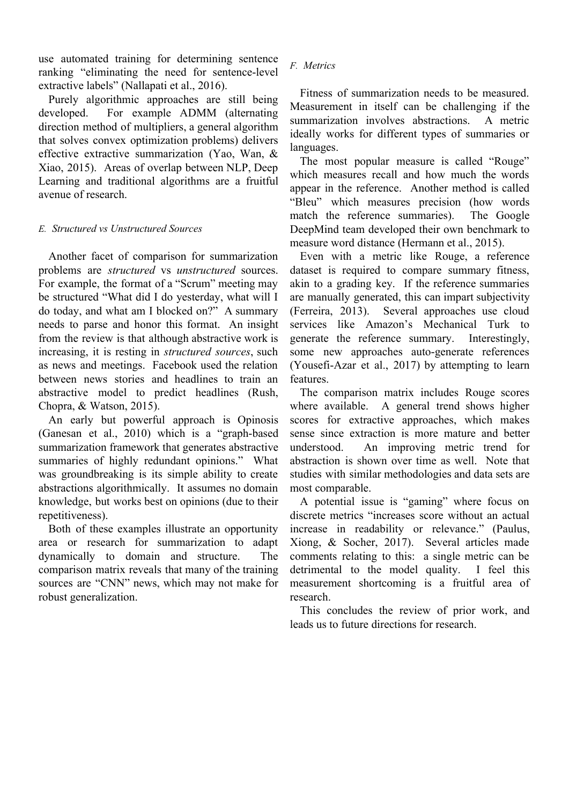use automated training for determining sentence ranking "eliminating the need for sentence-level extractive labels" (Nallapati et al., 2016).

Purely algorithmic approaches are still being developed. For example ADMM (alternating direction method of multipliers, a general algorithm that solves convex optimization problems) delivers effective extractive summarization (Yao, Wan, & Xiao, 2015). Areas of overlap between NLP, Deep Learning and traditional algorithms are a fruitful avenue of research.

## *E. Structured vs Unstructured Sources*

Another facet of comparison for summarization problems are *structured* vs *unstructured* sources. For example, the format of a "Scrum" meeting may be structured "What did I do yesterday, what will I do today, and what am I blocked on?" A summary needs to parse and honor this format. An insight from the review is that although abstractive work is increasing, it is resting in *structured sources*, such as news and meetings. Facebook used the relation between news stories and headlines to train an abstractive model to predict headlines (Rush, Chopra, & Watson, 2015).

An early but powerful approach is Opinosis (Ganesan et al., 2010) which is a "graph-based summarization framework that generates abstractive summaries of highly redundant opinions." What was groundbreaking is its simple ability to create abstractions algorithmically. It assumes no domain knowledge, but works best on opinions (due to their repetitiveness).

Both of these examples illustrate an opportunity area or research for summarization to adapt dynamically to domain and structure. The comparison matrix reveals that many of the training sources are "CNN" news, which may not make for robust generalization.

## *F. Metrics*

Fitness of summarization needs to be measured. Measurement in itself can be challenging if the summarization involves abstractions. A metric ideally works for different types of summaries or languages.

The most popular measure is called "Rouge" which measures recall and how much the words appear in the reference. Another method is called "Bleu" which measures precision (how words match the reference summaries). The Google DeepMind team developed their own benchmark to measure word distance (Hermann et al., 2015).

Even with a metric like Rouge, a reference dataset is required to compare summary fitness, akin to a grading key. If the reference summaries are manually generated, this can impart subjectivity (Ferreira, 2013). Several approaches use cloud services like Amazon's Mechanical Turk to generate the reference summary. Interestingly, some new approaches auto-generate references (Yousefi-Azar et al., 2017) by attempting to learn features.

The comparison matrix includes Rouge scores where available. A general trend shows higher scores for extractive approaches, which makes sense since extraction is more mature and better understood. An improving metric trend for abstraction is shown over time as well. Note that studies with similar methodologies and data sets are most comparable.

A potential issue is "gaming" where focus on discrete metrics "increases score without an actual increase in readability or relevance." (Paulus, Xiong, & Socher, 2017). Several articles made comments relating to this: a single metric can be detrimental to the model quality. I feel this measurement shortcoming is a fruitful area of research.

This concludes the review of prior work, and leads us to future directions for research.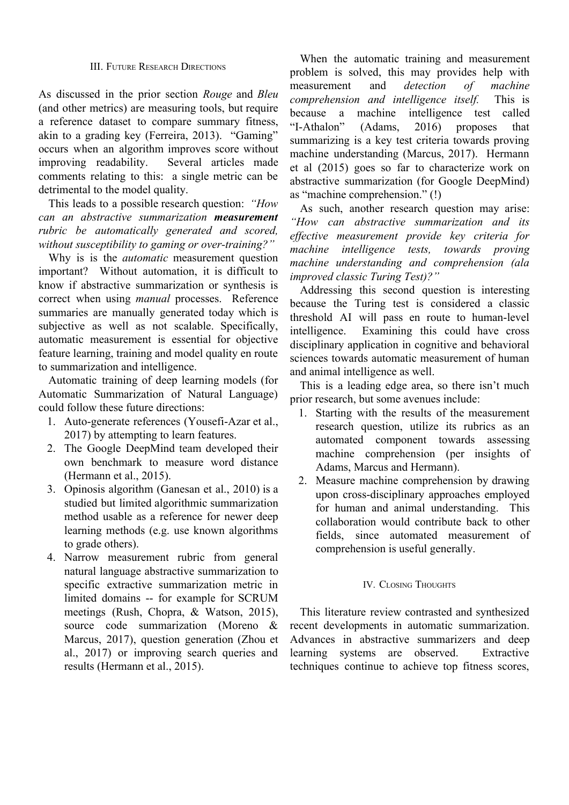#### III. FUTURE RESEARCH DIRECTIONS

As discussed in the prior section *Rouge* and *Bleu* (and other metrics) are measuring tools, but require a reference dataset to compare summary fitness, akin to a grading key (Ferreira, 2013). "Gaming" occurs when an algorithm improves score without improving readability. Several articles made comments relating to this: a single metric can be detrimental to the model quality.

This leads to a possible research question: *"How can an abstractive summarization measurement rubric be automatically generated and scored, without susceptibility to gaming or over-training?"*

Why is is the *automatic* measurement question important? Without automation, it is difficult to know if abstractive summarization or synthesis is correct when using *manual* processes. Reference summaries are manually generated today which is subjective as well as not scalable. Specifically, automatic measurement is essential for objective feature learning, training and model quality en route to summarization and intelligence.

Automatic training of deep learning models (for Automatic Summarization of Natural Language) could follow these future directions:

- 1. Auto-generate references (Yousefi-Azar et al., 2017) by attempting to learn features.
- 2. The Google DeepMind team developed their own benchmark to measure word distance (Hermann et al., 2015).
- 3. Opinosis algorithm (Ganesan et al., 2010) is a studied but limited algorithmic summarization method usable as a reference for newer deep learning methods (e.g. use known algorithms to grade others).
- 4. Narrow measurement rubric from general natural language abstractive summarization to specific extractive summarization metric in limited domains -- for example for SCRUM meetings (Rush, Chopra, & Watson, 2015), source code summarization (Moreno & Marcus, 2017), question generation (Zhou et al., 2017) or improving search queries and results (Hermann et al., 2015).

When the automatic training and measurement problem is solved, this may provides help with measurement and *detection of machine comprehension and intelligence itself.* This is because a machine intelligence test called "I-Athalon" (Adams, 2016) proposes that summarizing is a key test criteria towards proving machine understanding (Marcus, 2017). Hermann et al (2015) goes so far to characterize work on abstractive summarization (for Google DeepMind) as "machine comprehension." (!)

As such, another research question may arise: *"How can abstractive summarization and its effective measurement provide key criteria for machine intelligence tests, towards proving machine understanding and comprehension (ala improved classic Turing Test)?"*

Addressing this second question is interesting because the Turing test is considered a classic threshold AI will pass en route to human-level intelligence. Examining this could have cross disciplinary application in cognitive and behavioral sciences towards automatic measurement of human and animal intelligence as well.

This is a leading edge area, so there isn't much prior research, but some avenues include:

- 1. Starting with the results of the measurement research question, utilize its rubrics as an automated component towards assessing machine comprehension (per insights of Adams, Marcus and Hermann).
- 2. Measure machine comprehension by drawing upon cross-disciplinary approaches employed for human and animal understanding. This collaboration would contribute back to other fields, since automated measurement of comprehension is useful generally.

## IV. CLOSING THOUGHTS

This literature review contrasted and synthesized recent developments in automatic summarization. Advances in abstractive summarizers and deep learning systems are observed. Extractive techniques continue to achieve top fitness scores,